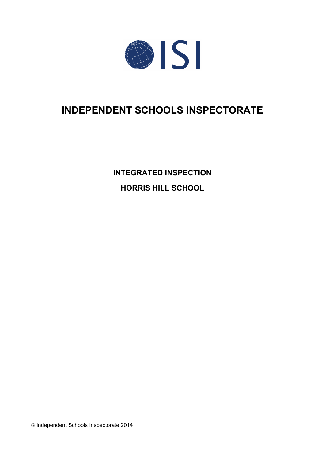

# **INDEPENDENT SCHOOLS INSPECTORATE**

**INTEGRATED INSPECTION HORRIS HILL SCHOOL**

© Independent Schools Inspectorate 2014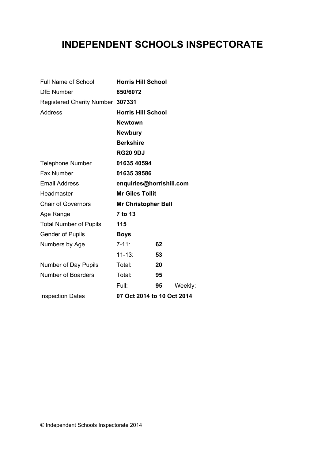# **INDEPENDENT SCHOOLS INSPECTORATE**

| <b>Full Name of School</b>       | <b>Horris Hill School</b>  |    |         |
|----------------------------------|----------------------------|----|---------|
| <b>DfE Number</b>                | 850/6072                   |    |         |
| Registered Charity Number 307331 |                            |    |         |
| <b>Address</b>                   | <b>Horris Hill School</b>  |    |         |
|                                  | <b>Newtown</b>             |    |         |
|                                  | <b>Newbury</b>             |    |         |
|                                  | <b>Berkshire</b>           |    |         |
|                                  | <b>RG20 9DJ</b>            |    |         |
| <b>Telephone Number</b>          | 01635 40594                |    |         |
| Fax Number                       | 01635 39586                |    |         |
| <b>Email Address</b>             | enquiries@horrishill.com   |    |         |
| Headmaster                       | <b>Mr Giles Tollit</b>     |    |         |
| <b>Chair of Governors</b>        | <b>Mr Christopher Ball</b> |    |         |
| Age Range                        | 7 to 13                    |    |         |
| <b>Total Number of Pupils</b>    | 115                        |    |         |
| <b>Gender of Pupils</b>          | <b>Boys</b>                |    |         |
| Numbers by Age                   | $7 - 11$ :                 | 62 |         |
|                                  | $11 - 13:$                 | 53 |         |
| Number of Day Pupils             | Total:                     | 20 |         |
| <b>Number of Boarders</b>        | Total:                     | 95 |         |
|                                  | Full:                      | 95 | Weekly: |
| <b>Inspection Dates</b>          | 07 Oct 2014 to 10 Oct 2014 |    |         |
|                                  |                            |    |         |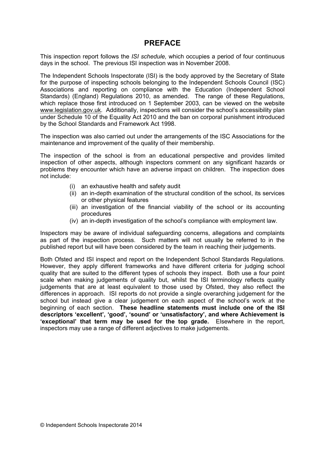### **PREFACE**

This inspection report follows the *ISI schedule,* which occupies a period of four continuous days in the school. The previous ISI inspection was in November 2008.

The Independent Schools Inspectorate (ISI) is the body approved by the Secretary of State for the purpose of inspecting schools belonging to the Independent Schools Council (ISC) Associations and reporting on compliance with the Education (Independent School Standards) (England) Regulations 2010, as amended. The range of these Regulations, which replace those first introduced on 1 September 2003, can be viewed on the website [www.legislation.gov.uk.](http://www.legislation.gov.uk) Additionally, inspections will consider the school's accessibility plan under Schedule 10 of the Equality Act 2010 and the ban on corporal punishment introduced by the School Standards and Framework Act 1998.

The inspection was also carried out under the arrangements of the ISC Associations for the maintenance and improvement of the quality of their membership.

The inspection of the school is from an educational perspective and provides limited inspection of other aspects, although inspectors comment on any significant hazards or problems they encounter which have an adverse impact on children. The inspection does not include:

- (i) an exhaustive health and safety audit
- (ii) an in-depth examination of the structural condition of the school, its services or other physical features
- (iii) an investigation of the financial viability of the school or its accounting procedures
- (iv) an in-depth investigation of the school's compliance with employment law.

Inspectors may be aware of individual safeguarding concerns, allegations and complaints as part of the inspection process. Such matters will not usually be referred to in the published report but will have been considered by the team in reaching their judgements.

Both Ofsted and ISI inspect and report on the Independent School Standards Regulations. However, they apply different frameworks and have different criteria for judging school quality that are suited to the different types of schools they inspect. Both use a four point scale when making judgements of quality but, whilst the ISI terminology reflects quality judgements that are at least equivalent to those used by Ofsted, they also reflect the differences in approach. ISI reports do not provide a single overarching judgement for the school but instead give a clear judgement on each aspect of the school's work at the beginning of each section. **These headline statements must include one of the ISI descriptors 'excellent', 'good', 'sound' or 'unsatisfactory', and where Achievement is 'exceptional' that term may be used for the top grade.** Elsewhere in the report, inspectors may use a range of different adjectives to make judgements.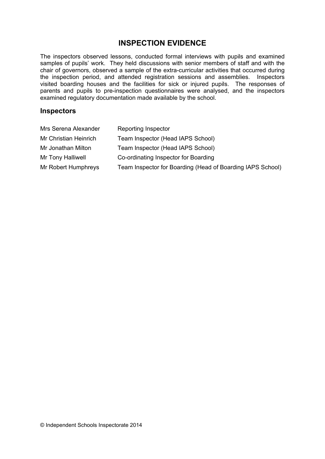## **INSPECTION EVIDENCE**

The inspectors observed lessons, conducted formal interviews with pupils and examined samples of pupils' work. They held discussions with senior members of staff and with the chair of governors, observed a sample of the extra-curricular activities that occurred during the inspection period, and attended registration sessions and assemblies. Inspectors visited boarding houses and the facilities for sick or injured pupils. The responses of parents and pupils to pre-inspection questionnaires were analysed, and the inspectors examined regulatory documentation made available by the school.

#### **Inspectors**

| Mrs Serena Alexander  | <b>Reporting Inspector</b>                                 |
|-----------------------|------------------------------------------------------------|
| Mr Christian Heinrich | Team Inspector (Head IAPS School)                          |
| Mr Jonathan Milton    | Team Inspector (Head IAPS School)                          |
| Mr Tony Halliwell     | Co-ordinating Inspector for Boarding                       |
| Mr Robert Humphreys   | Team Inspector for Boarding (Head of Boarding IAPS School) |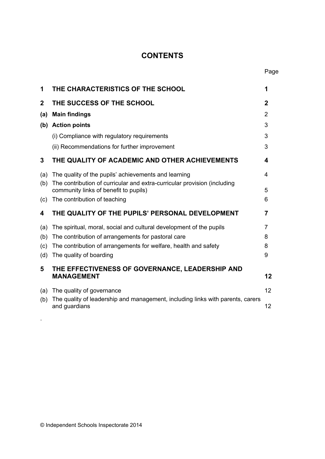# **CONTENTS**

| 1           | THE CHARACTERISTICS OF THE SCHOOL                                                                                                | 1           |
|-------------|----------------------------------------------------------------------------------------------------------------------------------|-------------|
| $\mathbf 2$ | THE SUCCESS OF THE SCHOOL                                                                                                        | $\mathbf 2$ |
| (a)         | <b>Main findings</b>                                                                                                             | 2           |
|             | (b) Action points                                                                                                                | 3           |
|             | (i) Compliance with regulatory requirements                                                                                      | 3           |
|             | (ii) Recommendations for further improvement                                                                                     | 3           |
| 3           | THE QUALITY OF ACADEMIC AND OTHER ACHIEVEMENTS                                                                                   | 4           |
| (a)<br>(b)  | The quality of the pupils' achievements and learning<br>The contribution of curricular and extra-curricular provision (including | 4           |
|             | community links of benefit to pupils)                                                                                            | 5           |
| (c)         | The contribution of teaching                                                                                                     | 6           |
| 4           | THE QUALITY OF THE PUPILS' PERSONAL DEVELOPMENT                                                                                  | 7           |
| (a)         | The spiritual, moral, social and cultural development of the pupils                                                              | 7           |
| (b)         | The contribution of arrangements for pastoral care                                                                               | 8           |
| (c)         | The contribution of arrangements for welfare, health and safety                                                                  | 8           |
| (d)         | The quality of boarding                                                                                                          | 9           |
| 5           | THE EFFECTIVENESS OF GOVERNANCE, LEADERSHIP AND<br><b>MANAGEMENT</b>                                                             | 12          |
| (a)<br>(b)  | The quality of governance<br>The quality of leadership and management, including links with parents, carers<br>and guardians     | 12<br>12    |
|             |                                                                                                                                  |             |

.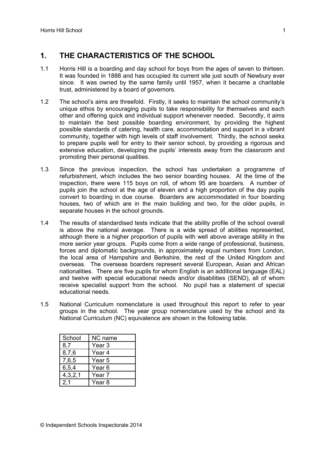## **1. THE CHARACTERISTICS OF THE SCHOOL**

- 1.1 Horris Hill is a boarding and day school for boys from the ages of seven to thirteen. It was founded in 1888 and has occupied its current site just south of Newbury ever since. It was owned by the same family until 1957, when it became a charitable trust, administered by a board of governors.
- 1.2 The school's aims are threefold. Firstly, it seeks to maintain the school community's unique ethos by encouraging pupils to take responsibility for themselves and each other and offering quick and individual support whenever needed. Secondly, it aims to maintain the best possible boarding environment, by providing the highest possible standards of catering, health care, accommodation and support in a vibrant community, together with high levels of staff involvement. Thirdly, the school seeks to prepare pupils well for entry to their senior school, by providing a rigorous and extensive education, developing the pupils' interests away from the classroom and promoting their personal qualities.
- 1.3 Since the previous inspection, the school has undertaken a programme of refurbishment, which includes the two senior boarding houses. At the time of the inspection, there were 115 boys on roll, of whom 95 are boarders. A number of pupils join the school at the age of eleven and a high proportion of the day pupils convert to boarding in due course. Boarders are accommodated in four boarding houses, two of which are in the main building and two, for the older pupils, in separate houses in the school grounds.
- 1.4 The results of standardised tests indicate that the ability profile of the school overall is above the national average. There is a wide spread of abilities represented, although there is a higher proportion of pupils with well above average ability in the more senior year groups. Pupils come from a wide range of professional, business, forces and diplomatic backgrounds, in approximately equal numbers from London, the local area of Hampshire and Berkshire, the rest of the United Kingdom and overseas. The overseas boarders represent several European, Asian and African nationalities. There are five pupils for whom English is an additional language (EAL) and twelve with special educational needs and/or disabilities (SEND), all of whom receive specialist support from the school. No pupil has a statement of special educational needs.
- 1.5 National Curriculum nomenclature is used throughout this report to refer to year groups in the school. The year group nomenclature used by the school and its National Curriculum (NC) equivalence are shown in the following table.

| School  | NC name           |
|---------|-------------------|
| 8,7     | Year <sub>3</sub> |
| 8,7,6   | Year 4            |
| 7,6,5   | Year 5            |
| 6,5,4   | Year <sub>6</sub> |
| 4,3,2,1 | Year <sub>7</sub> |
| 2.1     | Year 8            |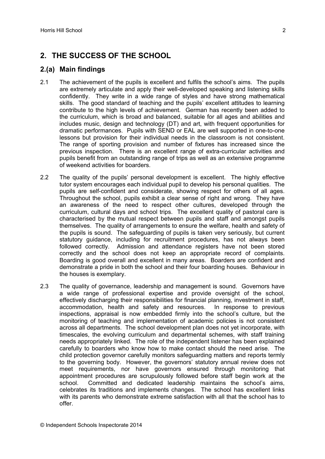# **2. THE SUCCESS OF THE SCHOOL**

#### **2.(a) Main findings**

- 2.1 The achievement of the pupils is excellent and fulfils the school's aims. The pupils are extremely articulate and apply their well-developed speaking and listening skills confidently. They write in a wide range of styles and have strong mathematical skills. The good standard of teaching and the pupils' excellent attitudes to learning contribute to the high levels of achievement. German has recently been added to the curriculum, which is broad and balanced, suitable for all ages and abilities and includes music, design and technology (DT) and art, with frequent opportunities for dramatic performances. Pupils with SEND or EAL are well supported in one-to-one lessons but provision for their individual needs in the classroom is not consistent. The range of sporting provision and number of fixtures has increased since the previous inspection. There is an excellent range of extra-curricular activities and pupils benefit from an outstanding range of trips as well as an extensive programme of weekend activities for boarders.
- 2.2 The quality of the pupils' personal development is excellent. The highly effective tutor system encourages each individual pupil to develop his personal qualities. The pupils are self-confident and considerate, showing respect for others of all ages. Throughout the school, pupils exhibit a clear sense of right and wrong. They have an awareness of the need to respect other cultures, developed through the curriculum, cultural days and school trips. The excellent quality of pastoral care is characterised by the mutual respect between pupils and staff and amongst pupils themselves. The quality of arrangements to ensure the welfare, health and safety of the pupils is sound. The safeguarding of pupils is taken very seriously, but current statutory guidance, including for recruitment procedures, has not always been followed correctly. Admission and attendance registers have not been stored correctly and the school does not keep an appropriate record of complaints. Boarding is good overall and excellent in many areas. Boarders are confident and demonstrate a pride in both the school and their four boarding houses. Behaviour in the houses is exemplary.
- 2.3 The quality of governance, leadership and management is sound. Governors have a wide range of professional expertise and provide oversight of the school, effectively discharging their responsibilities for financial planning, investment in staff, accommodation, health and safety and resources. In response to previous inspections, appraisal is now embedded firmly into the school's culture, but the monitoring of teaching and implementation of academic policies is not consistent across all departments. The school development plan does not yet incorporate, with timescales, the evolving curriculum and departmental schemes, with staff training needs appropriately linked. The role of the independent listener has been explained carefully to boarders who know how to make contact should the need arise. The child protection governor carefully monitors safeguarding matters and reports termly to the governing body. However, the governors' statutory annual review does not meet requirements, nor have governors ensured through monitoring that appointment procedures are scrupulously followed before staff begin work at the school. Committed and dedicated leadership maintains the school's aims, celebrates its traditions and implements changes. The school has excellent links with its parents who demonstrate extreme satisfaction with all that the school has to offer.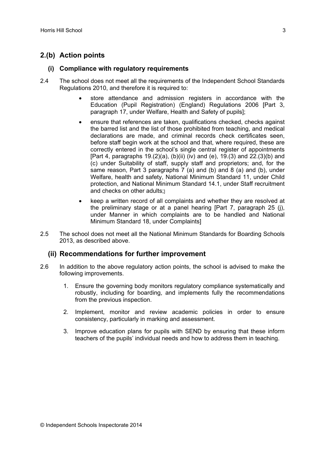## **2.(b) Action points**

#### **(i) Compliance with regulatory requirements**

- 2.4 The school does not meet all the requirements of the Independent School Standards Regulations 2010, and therefore it is required to:
	- store attendance and admission registers in accordance with the Education (Pupil Registration) (England) Regulations 2006 [Part 3, paragraph 17, under Welfare, Health and Safety of pupils];
	- ensure that references are taken, qualifications checked, checks against the barred list and the list of those prohibited from teaching, and medical declarations are made, and criminal records check certificates seen, before staff begin work at the school and that, where required, these are correctly entered in the school's single central register of appointments [Part 4, paragraphs 19.(2)(a), (b)(ii) (iv) and (e), 19.(3) and 22.(3)(b) and (c) under Suitability of staff, supply staff and proprietors; and, for the same reason, Part 3 paragraphs 7 (a) and (b) and 8 (a) and (b), under Welfare, health and safety, National Minimum Standard 11, under Child protection, and National Minimum Standard 14.1, under Staff recruitment and checks on other adults:
	- keep a written record of all complaints and whether they are resolved at the preliminary stage or at a panel hearing [Part 7, paragraph 25 (j), under Manner in which complaints are to be handled and National Minimum Standard 18, under Complaints]
- 2.5 The school does not meet all the National Minimum Standards for Boarding Schools 2013, as described above.

#### **(ii) Recommendations for further improvement**

- 2.6 In addition to the above regulatory action points, the school is advised to make the following improvements.
	- 1. Ensure the governing body monitors regulatory compliance systematically and robustly, including for boarding, and implements fully the recommendations from the previous inspection.
	- 2. Implement, monitor and review academic policies in order to ensure consistency, particularly in marking and assessment.
	- 3. Improve education plans for pupils with SEND by ensuring that these inform teachers of the pupils' individual needs and how to address them in teaching.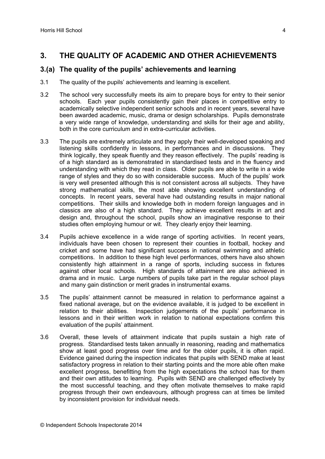### **3. THE QUALITY OF ACADEMIC AND OTHER ACHIEVEMENTS**

#### **3.(a) The quality of the pupils' achievements and learning**

- 3.1 The quality of the pupils' achievements and learning is excellent.
- 3.2 The school very successfully meets its aim to prepare boys for entry to their senior schools. Each year pupils consistently gain their places in competitive entry to academically selective independent senior schools and in recent years, several have been awarded academic, music, drama or design scholarships. Pupils demonstrate a very wide range of knowledge, understanding and skills for their age and ability, both in the core curriculum and in extra-curricular activities.
- 3.3 The pupils are extremely articulate and they apply their well-developed speaking and listening skills confidently in lessons, in performances and in discussions. They think logically, they speak fluently and they reason effectively. The pupils' reading is of a high standard as is demonstrated in standardised tests and in the fluency and understanding with which they read in class. Older pupils are able to write in a wide range of styles and they do so with considerable success. Much of the pupils' work is very well presented although this is not consistent across all subjects. They have strong mathematical skills, the most able showing excellent understanding of concepts. In recent years, several have had outstanding results in major national competitions. Their skills and knowledge both in modern foreign languages and in classics are also of a high standard. They achieve excellent results in art and design and, throughout the school, pupils show an imaginative response to their studies often employing humour or wit. They clearly enjoy their learning.
- 3.4 Pupils achieve excellence in a wide range of sporting activities. In recent years, individuals have been chosen to represent their counties in football, hockey and cricket and some have had significant success in national swimming and athletic competitions. In addition to these high level performances, others have also shown consistently high attainment in a range of sports, including success in fixtures against other local schools. High standards of attainment are also achieved in drama and in music. Large numbers of pupils take part in the regular school plays and many gain distinction or merit grades in instrumental exams.
- 3.5 The pupils' attainment cannot be measured in relation to performance against a fixed national average, but on the evidence available, it is judged to be excellent in relation to their abilities. Inspection judgements of the pupils' performance in lessons and in their written work in relation to national expectations confirm this evaluation of the pupils' attainment.
- 3.6 Overall, these levels of attainment indicate that pupils sustain a high rate of progress. Standardised tests taken annually in reasoning, reading and mathematics show at least good progress over time and for the older pupils, it is often rapid. Evidence gained during the inspection indicates that pupils with SEND make at least satisfactory progress in relation to their starting points and the more able often make excellent progress, benefitting from the high expectations the school has for them and their own attitudes to learning. Pupils with SEND are challenged effectively by the most successful teaching, and they often motivate themselves to make rapid progress through their own endeavours, although progress can at times be limited by inconsistent provision for individual needs.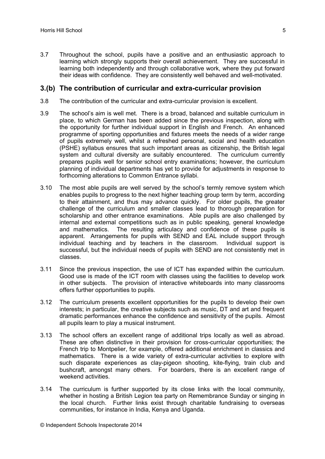3.7 Throughout the school, pupils have a positive and an enthusiastic approach to learning which strongly supports their overall achievement. They are successful in learning both independently and through collaborative work, where they put forward their ideas with confidence. They are consistently well behaved and well-motivated.

#### **3.(b) The contribution of curricular and extra-curricular provision**

- 3.8 The contribution of the curricular and extra-curricular provision is excellent.
- 3.9 The school's aim is well met. There is a broad, balanced and suitable curriculum in place, to which German has been added since the previous inspection, along with the opportunity for further individual support in English and French. An enhanced programme of sporting opportunities and fixtures meets the needs of a wider range of pupils extremely well, whilst a refreshed personal, social and health education (PSHE) syllabus ensures that such important areas as citizenship, the British legal system and cultural diversity are suitably encountered. The curriculum currently prepares pupils well for senior school entry examinations; however, the curriculum planning of individual departments has yet to provide for adjustments in response to forthcoming alterations to Common Entrance syllabi.
- 3.10 The most able pupils are well served by the school's termly remove system which enables pupils to progress to the next higher teaching group term by term, according to their attainment, and thus may advance quickly. For older pupils, the greater challenge of the curriculum and smaller classes lead to thorough preparation for scholarship and other entrance examinations. Able pupils are also challenged by internal and external competitions such as in public speaking, general knowledge and mathematics. The resulting articulacy and confidence of these pupils is apparent. Arrangements for pupils with SEND and EAL include support through individual teaching and by teachers in the classroom. Individual support is successful, but the individual needs of pupils with SEND are not consistently met in classes.
- 3.11 Since the previous inspection, the use of ICT has expanded within the curriculum. Good use is made of the ICT room with classes using the facilities to develop work in other subjects. The provision of interactive whiteboards into many classrooms offers further opportunities to pupils.
- 3.12 The curriculum presents excellent opportunities for the pupils to develop their own interests; in particular, the creative subjects such as music, DT and art and frequent dramatic performances enhance the confidence and sensitivity of the pupils. Almost all pupils learn to play a musical instrument.
- 3.13 The school offers an excellent range of additional trips locally as well as abroad. These are often distinctive in their provision for cross-curricular opportunities; the French trip to Montpelier, for example, offered additional enrichment in classics and mathematics. There is a wide variety of extra-curricular activities to explore with such disparate experiences as clay-pigeon shooting, kite-flying, train club and bushcraft, amongst many others. For boarders, there is an excellent range of weekend activities.
- 3.14 The curriculum is further supported by its close links with the local community, whether in hosting a British Legion tea party on Remembrance Sunday or singing in the local church. Further links exist through charitable fundraising to overseas communities, for instance in India, Kenya and Uganda.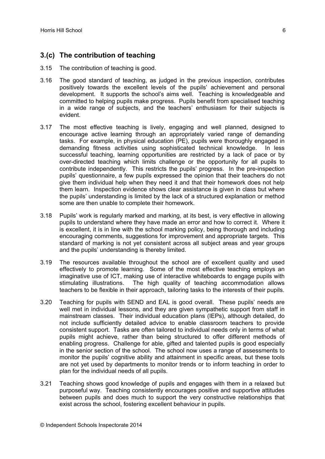## **3.(c) The contribution of teaching**

- 3.15 The contribution of teaching is good.
- 3.16 The good standard of teaching, as judged in the previous inspection, contributes positively towards the excellent levels of the pupils' achievement and personal development. It supports the school's aims well. Teaching is knowledgeable and committed to helping pupils make progress. Pupils benefit from specialised teaching in a wide range of subjects, and the teachers' enthusiasm for their subjects is evident.
- 3.17 The most effective teaching is lively, engaging and well planned, designed to encourage active learning through an appropriately varied range of demanding tasks. For example, in physical education (PE), pupils were thoroughly engaged in demanding fitness activities using sophisticated technical knowledge. In less successful teaching, learning opportunities are restricted by a lack of pace or by over-directed teaching which limits challenge or the opportunity for all pupils to contribute independently. This restricts the pupils' progress. In the pre-inspection pupils' questionnaire, a few pupils expressed the opinion that their teachers do not give them individual help when they need it and that their homework does not help them learn. Inspection evidence shows clear assistance is given in class but where the pupils' understanding is limited by the lack of a structured explanation or method some are then unable to complete their homework.
- 3.18 Pupils' work is regularly marked and marking, at its best, is very effective in allowing pupils to understand where they have made an error and how to correct it. Where it is excellent, it is in line with the school marking policy, being thorough and including encouraging comments, suggestions for improvement and appropriate targets. This standard of marking is not yet consistent across all subject areas and year groups and the pupils' understanding is thereby limited.
- 3.19 The resources available throughout the school are of excellent quality and used effectively to promote learning. Some of the most effective teaching employs an imaginative use of ICT, making use of interactive whiteboards to engage pupils with stimulating illustrations. The high quality of teaching accommodation allows teachers to be flexible in their approach, tailoring tasks to the interests of their pupils.
- 3.20 Teaching for pupils with SEND and EAL is good overall. These pupils' needs are well met in individual lessons, and they are given sympathetic support from staff in mainstream classes. Their individual education plans (IEPs), although detailed, do not include sufficiently detailed advice to enable classroom teachers to provide consistent support. Tasks are often tailored to individual needs only in terms of what pupils might achieve, rather than being structured to offer different methods of enabling progress. Challenge for able, gifted and talented pupils is good especially in the senior section of the school. The school now uses a range of assessments to monitor the pupils' cognitive ability and attainment in specific areas, but these tools are not yet used by departments to monitor trends or to inform teaching in order to plan for the individual needs of all pupils.
- 3.21 Teaching shows good knowledge of pupils and engages with them in a relaxed but purposeful way. Teaching consistently encourages positive and supportive attitudes between pupils and does much to support the very constructive relationships that exist across the school, fostering excellent behaviour in pupils.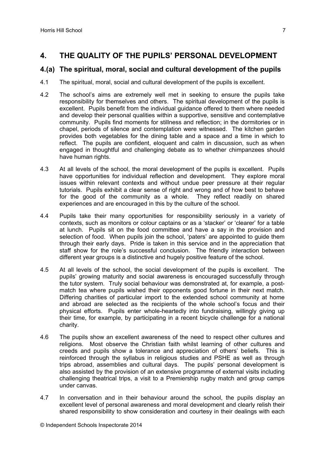## **4. THE QUALITY OF THE PUPILS' PERSONAL DEVELOPMENT**

#### **4.(a) The spiritual, moral, social and cultural development of the pupils**

- 4.1 The spiritual, moral, social and cultural development of the pupils is excellent.
- 4.2 The school's aims are extremely well met in seeking to ensure the pupils take responsibility for themselves and others. The spiritual development of the pupils is excellent. Pupils benefit from the individual guidance offered to them where needed and develop their personal qualities within a supportive, sensitive and contemplative community. Pupils find moments for stillness and reflection; in the dormitories or in chapel, periods of silence and contemplation were witnessed. The kitchen garden provides both vegetables for the dining table and a space and a time in which to reflect. The pupils are confident, eloquent and calm in discussion, such as when engaged in thoughtful and challenging debate as to whether chimpanzees should have human rights.
- 4.3 At all levels of the school, the moral development of the pupils is excellent. Pupils have opportunities for individual reflection and development. They explore moral issues within relevant contexts and without undue peer pressure at their regular tutorials. Pupils exhibit a clear sense of right and wrong and of how best to behave for the good of the community as a whole. They reflect readily on shared experiences and are encouraged in this by the culture of the school.
- 4.4 Pupils take their many opportunities for responsibility seriously in a variety of contexts, such as monitors or colour captains or as a 'stacker' or 'clearer' for a table at lunch. Pupils sit on the food committee and have a say in the provision and selection of food. When pupils join the school, 'paters' are appointed to guide them through their early days. Pride is taken in this service and in the appreciation that staff show for the role's successful conclusion. The friendly interaction between different year groups is a distinctive and hugely positive feature of the school.
- 4.5 At all levels of the school, the social development of the pupils is excellent. The pupils' growing maturity and social awareness is encouraged successfully through the tutor system. Truly social behaviour was demonstrated at, for example, a postmatch tea where pupils wished their opponents good fortune in their next match. Differing charities of particular import to the extended school community at home and abroad are selected as the recipients of the whole school's focus and their physical efforts. Pupils enter whole-heartedly into fundraising, willingly giving up their time, for example, by participating in a recent bicycle challenge for a national charity.
- 4.6 The pupils show an excellent awareness of the need to respect other cultures and religions. Most observe the Christian faith whilst learning of other cultures and creeds and pupils show a tolerance and appreciation of others' beliefs. This is reinforced through the syllabus in religious studies and PSHE as well as through trips abroad, assemblies and cultural days. The pupils' personal development is also assisted by the provision of an extensive programme of external visits including challenging theatrical trips, a visit to a Premiership rugby match and group camps under canvas.
- 4.7 In conversation and in their behaviour around the school, the pupils display an excellent level of personal awareness and moral development and clearly relish their shared responsibility to show consideration and courtesy in their dealings with each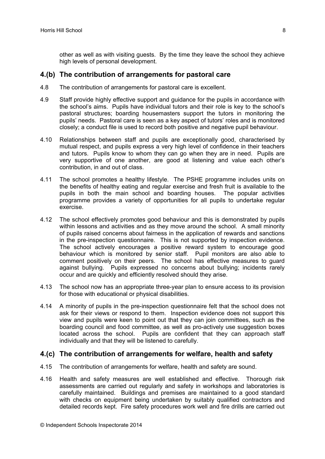other as well as with visiting guests. By the time they leave the school they achieve high levels of personal development.

#### **4.(b) The contribution of arrangements for pastoral care**

- 4.8 The contribution of arrangements for pastoral care is excellent.
- 4.9 Staff provide highly effective support and guidance for the pupils in accordance with the school's aims. Pupils have individual tutors and their role is key to the school's pastoral structures; boarding housemasters support the tutors in monitoring the pupils' needs. Pastoral care is seen as a key aspect of tutors' roles and is monitored closely; a conduct file is used to record both positive and negative pupil behaviour.
- 4.10 Relationships between staff and pupils are exceptionally good, characterised by mutual respect, and pupils express a very high level of confidence in their teachers and tutors. Pupils know to whom they can go when they are in need. Pupils are very supportive of one another, are good at listening and value each other's contribution, in and out of class.
- 4.11 The school promotes a healthy lifestyle. The PSHE programme includes units on the benefits of healthy eating and regular exercise and fresh fruit is available to the pupils in both the main school and boarding houses. The popular activities programme provides a variety of opportunities for all pupils to undertake regular exercise.
- 4.12 The school effectively promotes good behaviour and this is demonstrated by pupils within lessons and activities and as they move around the school. A small minority of pupils raised concerns about fairness in the application of rewards and sanctions in the pre-inspection questionnaire. This is not supported by inspection evidence. The school actively encourages a positive reward system to encourage good behaviour which is monitored by senior staff. Pupil monitors are also able to comment positively on their peers. The school has effective measures to guard against bullying. Pupils expressed no concerns about bullying; incidents rarely occur and are quickly and efficiently resolved should they arise.
- 4.13 The school now has an appropriate three-year plan to ensure access to its provision for those with educational or physical disabilities.
- 4.14 A minority of pupils in the pre-inspection questionnaire felt that the school does not ask for their views or respond to them. Inspection evidence does not support this view and pupils were keen to point out that they can join committees, such as the boarding council and food committee, as well as pro-actively use suggestion boxes located across the school. Pupils are confident that they can approach staff individually and that they will be listened to carefully.

#### **4.(c) The contribution of arrangements for welfare, health and safety**

- 4.15 The contribution of arrangements for welfare, health and safety are sound.
- 4.16 Health and safety measures are well established and effective. Thorough risk assessments are carried out regularly and safety in workshops and laboratories is carefully maintained. Buildings and premises are maintained to a good standard with checks on equipment being undertaken by suitably qualified contractors and detailed records kept. Fire safety procedures work well and fire drills are carried out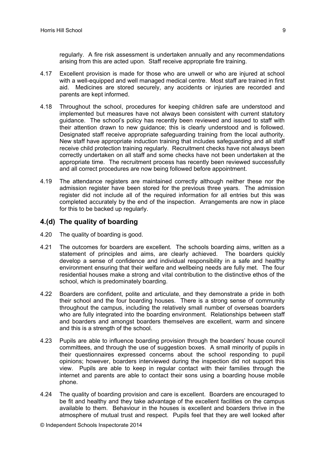regularly. A fire risk assessment is undertaken annually and any recommendations arising from this are acted upon. Staff receive appropriate fire training.

- 4.17 Excellent provision is made for those who are unwell or who are injured at school with a well-equipped and well managed medical centre. Most staff are trained in first aid. Medicines are stored securely, any accidents or injuries are recorded and parents are kept informed.
- 4.18 Throughout the school, procedures for keeping children safe are understood and implemented but measures have not always been consistent with current statutory guidance. The school's policy has recently been reviewed and issued to staff with their attention drawn to new guidance; this is clearly understood and is followed. Designated staff receive appropriate safeguarding training from the local authority. New staff have appropriate induction training that includes safeguarding and all staff receive child protection training regularly. Recruitment checks have not always been correctly undertaken on all staff and some checks have not been undertaken at the appropriate time. The recruitment process has recently been reviewed successfully and all correct procedures are now being followed before appointment.
- 4.19 The attendance registers are maintained correctly although neither these nor the admission register have been stored for the previous three years. The admission register did not include all of the required information for all entries but this was completed accurately by the end of the inspection. Arrangements are now in place for this to be backed up regularly.

#### **4.(d) The quality of boarding**

- 4.20 The quality of boarding is good.
- 4.21 The outcomes for boarders are excellent. The schools boarding aims, written as a statement of principles and aims, are clearly achieved. The boarders quickly develop a sense of confidence and individual responsibility in a safe and healthy environment ensuring that their welfare and wellbeing needs are fully met. The four residential houses make a strong and vital contribution to the distinctive ethos of the school, which is predominately boarding.
- 4.22 Boarders are confident, polite and articulate, and they demonstrate a pride in both their school and the four boarding houses. There is a strong sense of community throughout the campus, including the relatively small number of overseas boarders who are fully integrated into the boarding environment. Relationships between staff and boarders and amongst boarders themselves are excellent, warm and sincere and this is a strength of the school.
- 4.23 Pupils are able to influence boarding provision through the boarders' house council committees, and through the use of suggestion boxes. A small minority of pupils in their questionnaires expressed concerns about the school responding to pupil opinions; however, boarders interviewed during the inspection did not support this view. Pupils are able to keep in regular contact with their families through the internet and parents are able to contact their sons using a boarding house mobile phone.
- 4.24 The quality of boarding provision and care is excellent. Boarders are encouraged to be fit and healthy and they take advantage of the excellent facilities on the campus available to them. Behaviour in the houses is excellent and boarders thrive in the atmosphere of mutual trust and respect. Pupils feel that they are well looked after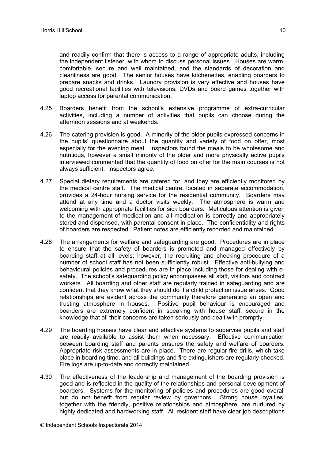and readily confirm that there is access to a range of appropriate adults, including the independent listener, with whom to discuss personal issues. Houses are warm, comfortable, secure and well maintained, and the standards of decoration and cleanliness are good. The senior houses have kitchenettes, enabling boarders to prepare snacks and drinks. Laundry provision is very effective and houses have good recreational facilities with televisions, DVDs and board games together with laptop access for parental communication.

- 4.25 Boarders benefit from the school's extensive programme of extra-curricular activities, including a number of activities that pupils can choose during the afternoon sessions and at weekends.
- 4.26 The catering provision is good. A minority of the older pupils expressed concerns in the pupils' questionnaire about the quantity and variety of food on offer, most especially for the evening meal. Inspectors found the meals to be wholesome and nutritious, however a small minority of the older and more physically active pupils interviewed commented that the quantity of food on offer for the main courses is not always sufficient. Inspectors agree.
- 4.27 Special dietary requirements are catered for, and they are efficiently monitored by the medical centre staff. The medical centre, located in separate accommodation, provides a 24-hour nursing service for the residential community. Boarders may attend at any time and a doctor visits weekly. The atmosphere is warm and welcoming with appropriate facilities for sick boarders. Meticulous attention is given to the management of medication and all medication is correctly and appropriately stored and dispensed, with parental consent in place. The confidentiality and rights of boarders are respected. Patient notes are efficiently recorded and maintained.
- 4.28 The arrangements for welfare and safeguarding are good. Procedures are in place to ensure that the safety of boarders is promoted and managed effectively by boarding staff at all levels; however, the recruiting and checking procedure of a number of school staff has not been sufficiently robust. Effective anti-bullying and behavioural policies and procedures are in place including those for dealing with esafety. The school's safeguarding policy encompasses all staff, visitors and contract workers. All boarding and other staff are regularly trained in safeguarding and are confident that they know what they should do if a child protection issue arises. Good relationships are evident across the community therefore generating an open and trusting atmosphere in houses. Positive pupil behaviour is encouraged and boarders are extremely confident in speaking with house staff, secure in the knowledge that all their concerns are taken seriously and dealt with promptly.
- 4.29 The boarding houses have clear and effective systems to supervise pupils and staff are readily available to assist them when necessary. Effective communication between boarding staff and parents ensures the safety and welfare of boarders. Appropriate risk assessments are in place. There are regular fire drills, which take place in boarding time, and all buildings and fire extinguishers are regularly checked. Fire logs are up-to-date and correctly maintained.
- 4.30 The effectiveness of the leadership and management of the boarding provision is good and is reflected in the quality of the relationships and personal development of boarders. Systems for the monitoring of policies and procedures are good overall but do not benefit from regular review by governors. Strong house loyalties, together with the friendly, positive relationships and atmosphere, are nurtured by highly dedicated and hardworking staff. All resident staff have clear job descriptions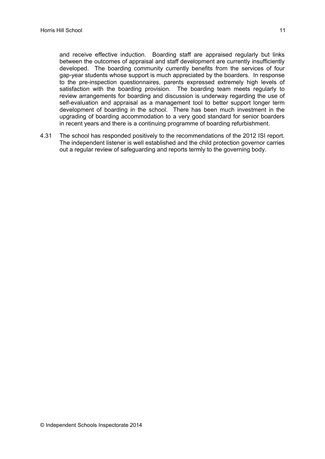and receive effective induction. Boarding staff are appraised regularly but links between the outcomes of appraisal and staff development are currently insufficiently developed. The boarding community currently benefits from the services of four gap-year students whose support is much appreciated by the boarders. In response to the pre-inspection questionnaires, parents expressed extremely high levels of satisfaction with the boarding provision. The boarding team meets regularly to review arrangements for boarding and discussion is underway regarding the use of self-evaluation and appraisal as a management tool to better support longer term development of boarding in the school. There has been much investment in the upgrading of boarding accommodation to a very good standard for senior boarders in recent years and there is a continuing programme of boarding refurbishment.

4.31 The school has responded positively to the recommendations of the 2012 ISI report. The independent listener is well established and the child protection governor carries out a regular review of safeguarding and reports termly to the governing body.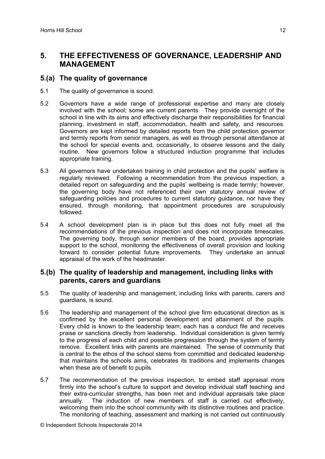## **5. THE EFFECTIVENESS OF GOVERNANCE, LEADERSHIP AND MANAGEMENT**

#### **5.(a) The quality of governance**

- 5.1 The quality of governance is sound.
- 5.2 Governors have a wide range of professional expertise and many are closely involved with the school; some are current parents. They provide oversight of the school in line with its aims and effectively discharge their responsibilities for financial planning, investment in staff, accommodation, health and safety, and resources. Governors are kept informed by detailed reports from the child protection governor and termly reports from senior managers, as well as through personal attendance at the school for special events and, occasionally, to observe lessons and the daily routine. New governors follow a structured induction programme that includes appropriate training.
- 5.3 All governors have undertaken training in child protection and the pupils' welfare is regularly reviewed. Following a recommendation from the previous inspection, a detailed report on safeguarding and the pupils' wellbeing is made termly; however, the governing body have not referenced their own statutory annual review of safeguarding policies and procedures to current statutory guidance, nor have they ensured, through monitoring, that appointment procedures are scrupulously followed.
- 5.4 A school development plan is in place but this does not fully meet all the recommendations of the previous inspection and does not incorporate timescales. The governing body, through senior members of the board, provides appropriate support to the school, monitoring the effectiveness of overall provision and looking forward to consider potential future improvements. They undertake an annual appraisal of the work of the headmaster.

#### **5.(b) The quality of leadership and management, including links with parents, carers and guardians**

- 5.5 The quality of leadership and management, including links with parents, carers and guardians, is sound.
- 5.6 The leadership and management of the school give firm educational direction as is confirmed by the excellent personal development and attainment of the pupils. Every child is known to the leadership team; each has a conduct file and receives praise or sanctions directly from leadership. Individual consideration is given termly to the progress of each child and possible progression through the system of termly remove. Excellent links with parents are maintained. The sense of community that is central to the ethos of the school stems from committed and dedicated leadership that maintains the schools aims, celebrates its traditions and implements changes when these are of benefit to pupils.
- 5.7 The recommendation of the previous inspection, to embed staff appraisal more firmly into the school's culture to support and develop individual staff teaching and their extra-curricular strengths, has been met and individual appraisals take place annually. The induction of new members of staff is carried out effectively, welcoming them into the school community with its distinctive routines and practice. The monitoring of teaching, assessment and marking is not carried out continuously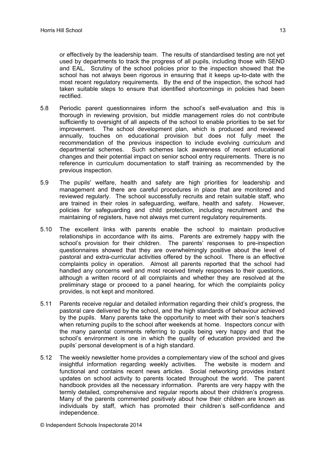or effectively by the leadership team. The results of standardised testing are not yet used by departments to track the progress of all pupils, including those with SEND and EAL. Scrutiny of the school policies prior to the inspection showed that the school has not always been rigorous in ensuring that it keeps up-to-date with the most recent regulatory requirements. By the end of the inspection, the school had taken suitable steps to ensure that identified shortcomings in policies had been rectified.

- 5.8 Periodic parent questionnaires inform the school's self-evaluation and this is thorough in reviewing provision, but middle management roles do not contribute sufficiently to oversight of all aspects of the school to enable priorities to be set for improvement. The school development plan, which is produced and reviewed annually, touches on educational provision but does not fully meet the recommendation of the previous inspection to include evolving curriculum and departmental schemes. Such schemes lack awareness of recent educational changes and their potential impact on senior school entry requirements. There is no reference in curriculum documentation to staff training as recommended by the previous inspection.
- 5.9 The pupils' welfare, health and safety are high priorities for leadership and management and there are careful procedures in place that are monitored and reviewed regularly. The school successfully recruits and retain suitable staff, who are trained in their roles in safeguarding, welfare, health and safety. However, policies for safeguarding and child protection, including recruitment and the maintaining of registers, have not always met current regulatory requirements.
- 5.10 The excellent links with parents enable the school to maintain productive relationships in accordance with its aims. Parents are extremely happy with the school's provision for their children. The parents' responses to pre-inspection questionnaires showed that they are overwhelmingly positive about the level of pastoral and extra-curricular activities offered by the school. There is an effective complaints policy in operation. Almost all parents reported that the school had handled any concerns well and most received timely responses to their questions, although a written record of all complaints and whether they are resolved at the preliminary stage or proceed to a panel hearing, for which the complaints policy provides, is not kept and monitored.
- 5.11 Parents receive regular and detailed information regarding their child's progress, the pastoral care delivered by the school, and the high standards of behaviour achieved by the pupils. Many parents take the opportunity to meet with their son's teachers when returning pupils to the school after weekends at home. Inspectors concur with the many parental comments referring to pupils being very happy and that the school's environment is one in which the quality of education provided and the pupils' personal development is of a high standard.
- 5.12 The weekly newsletter home provides a complementary view of the school and gives insightful information regarding weekly activities. The website is modern and functional and contains recent news articles. Social networking provides instant updates on school activity to parents located throughout the world. The parent handbook provides all the necessary information. Parents are very happy with the termly detailed, comprehensive and regular reports about their children's progress. Many of the parents commented positively about how their children are known as individuals by staff, which has promoted their children's self-confidence and independence.

© Independent Schools Inspectorate 2014